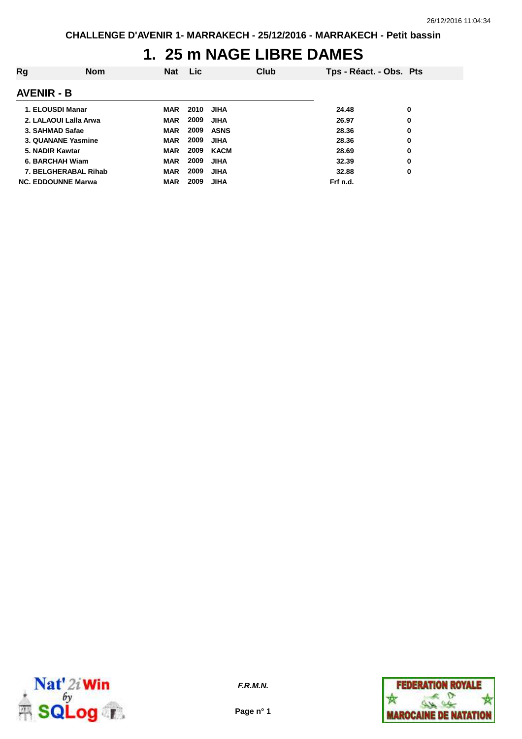## **1. 25 m NAGE LIBRE DAMES**

| Rg                | <b>Nom</b>                | <b>Nat</b> | Lic  |             | Club | Tps - Réact. - Obs. Pts |   |
|-------------------|---------------------------|------------|------|-------------|------|-------------------------|---|
| <b>AVENIR - B</b> |                           |            |      |             |      |                         |   |
| 1. ELOUSDI Manar  |                           | MAR        | 2010 | <b>JIHA</b> |      | 24.48                   | 0 |
|                   | 2. LALAOUI Lalla Arwa     | <b>MAR</b> | 2009 | <b>JIHA</b> |      | 26.97                   | 0 |
| 3. SAHMAD Safae   |                           | <b>MAR</b> | 2009 | <b>ASNS</b> |      | 28.36                   | 0 |
|                   | 3. QUANANE Yasmine        | <b>MAR</b> | 2009 | <b>JIHA</b> |      | 28.36                   | 0 |
| 5. NADIR Kawtar   |                           | <b>MAR</b> | 2009 | <b>KACM</b> |      | 28.69                   | 0 |
| 6. BARCHAH Wiam   |                           | <b>MAR</b> | 2009 | <b>JIHA</b> |      | 32.39                   | 0 |
|                   | 7. BELGHERABAL Rihab      | <b>MAR</b> | 2009 | <b>JIHA</b> |      | 32.88                   | 0 |
|                   | <b>NC. EDDOUNNE Marwa</b> | <b>MAR</b> | 2009 | <b>JIHA</b> |      | Frf n.d.                |   |



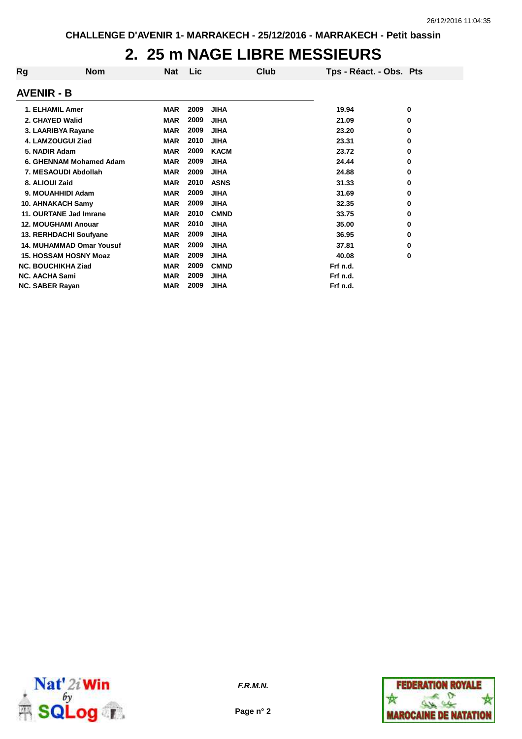## **2. 25 m NAGE LIBRE MESSIEURS**

| Rg                     | <b>Nom</b>                      | <b>Nat</b> | Lic  | Club        | Tps - Réact. - Obs. Pts |   |
|------------------------|---------------------------------|------------|------|-------------|-------------------------|---|
| <b>AVENIR - B</b>      |                                 |            |      |             |                         |   |
| 1. ELHAMIL Amer        |                                 | <b>MAR</b> | 2009 | <b>JIHA</b> | 19.94                   | 0 |
| 2. CHAYED Walid        |                                 | <b>MAR</b> | 2009 | <b>JIHA</b> | 21.09                   | 0 |
|                        | 3. LAARIBYA Rayane              | <b>MAR</b> | 2009 | <b>JIHA</b> | 23.20                   | 0 |
|                        | 4. LAMZOUGUI Ziad               | <b>MAR</b> | 2010 | <b>JIHA</b> | 23.31                   | 0 |
| 5. NADIR Adam          |                                 | <b>MAR</b> | 2009 | <b>KACM</b> | 23.72                   | 0 |
|                        | 6. GHENNAM Mohamed Adam         | <b>MAR</b> | 2009 | <b>JIHA</b> | 24.44                   | 0 |
|                        | 7. MESAOUDI Abdollah            | <b>MAR</b> | 2009 | <b>JIHA</b> | 24.88                   | 0 |
| 8. ALIOUI Zaid         |                                 | <b>MAR</b> | 2010 | <b>ASNS</b> | 31.33                   | 0 |
|                        | 9. MOUAHHIDI Adam               | <b>MAR</b> | 2009 | <b>JIHA</b> | 31.69                   | 0 |
|                        | 10. AHNAKACH Samy               | <b>MAR</b> | 2009 | <b>JIHA</b> | 32.35                   | 0 |
|                        | 11. OURTANE Jad Imrane          | <b>MAR</b> | 2010 | <b>CMND</b> | 33.75                   | 0 |
|                        | <b>12. MOUGHAMI Anouar</b>      | <b>MAR</b> | 2010 | <b>JIHA</b> | 35.00                   | 0 |
|                        | 13. RERHDACHI Soufyane          | <b>MAR</b> | 2009 | <b>JIHA</b> | 36.95                   | 0 |
|                        | <b>14. MUHAMMAD Omar Yousuf</b> | <b>MAR</b> | 2009 | <b>JIHA</b> | 37.81                   | 0 |
|                        | <b>15. HOSSAM HOSNY Moaz</b>    | <b>MAR</b> | 2009 | <b>JIHA</b> | 40.08                   | 0 |
|                        | <b>NC. BOUCHIKHA Ziad</b>       | <b>MAR</b> | 2009 | <b>CMND</b> | Frf n.d.                |   |
| <b>NC. AACHA Sami</b>  |                                 | <b>MAR</b> | 2009 | JIHA        | Frf n.d.                |   |
| <b>NC. SABER Rayan</b> |                                 | <b>MAR</b> | 2009 | <b>JIHA</b> | Frf n.d.                |   |



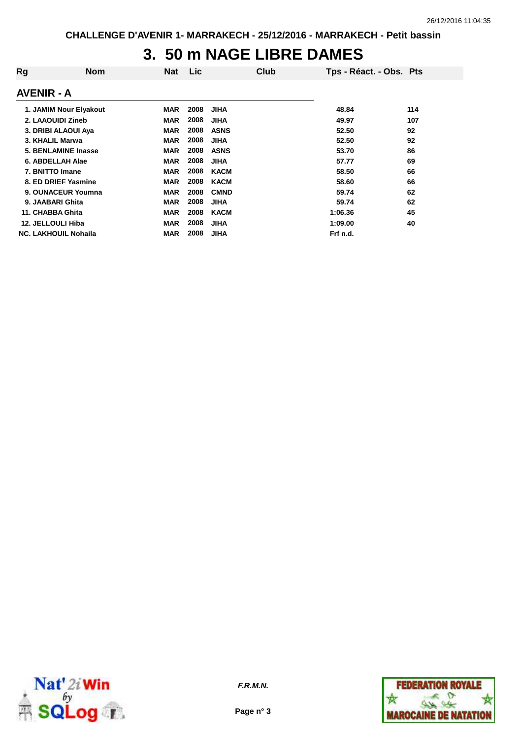## **3. 50 m NAGE LIBRE DAMES**

| Rg                          | <b>Nom</b> | <b>Nat</b> | Lic  | Club        | Tps - Réact. - Obs. Pts |     |
|-----------------------------|------------|------------|------|-------------|-------------------------|-----|
| <b>AVENIR - A</b>           |            |            |      |             |                         |     |
| 1. JAMIM Nour Elyakout      |            | <b>MAR</b> | 2008 | <b>JIHA</b> | 48.84                   | 114 |
| 2. LAAOUIDI Zineb           |            | <b>MAR</b> | 2008 | <b>JIHA</b> | 49.97                   | 107 |
| 3. DRIBI ALAOUI Aya         |            | <b>MAR</b> | 2008 | <b>ASNS</b> | 52.50                   | 92  |
| 3. KHALIL Marwa             |            | <b>MAR</b> | 2008 | <b>JIHA</b> | 52.50                   | 92  |
| 5. BENLAMINE Inasse         |            | <b>MAR</b> | 2008 | <b>ASNS</b> | 53.70                   | 86  |
| 6. ABDELLAH Alae            |            | <b>MAR</b> | 2008 | <b>JIHA</b> | 57.77                   | 69  |
| 7. BNITTO Imane             |            | <b>MAR</b> | 2008 | KACM        | 58.50                   | 66  |
| 8. ED DRIEF Yasmine         |            | <b>MAR</b> | 2008 | <b>KACM</b> | 58.60                   | 66  |
| 9. OUNACEUR Youmna          |            | <b>MAR</b> | 2008 | <b>CMND</b> | 59.74                   | 62  |
| 9. JAABARI Ghita            |            | <b>MAR</b> | 2008 | <b>JIHA</b> | 59.74                   | 62  |
| 11. CHABBA Ghita            |            | <b>MAR</b> | 2008 | KACM        | 1:06.36                 | 45  |
| 12. JELLOULI Hiba           |            | <b>MAR</b> | 2008 | <b>JIHA</b> | 1:09.00                 | 40  |
| <b>NC. LAKHOUIL Nohaila</b> |            | <b>MAR</b> | 2008 | <b>JIHA</b> | Frf n.d.                |     |



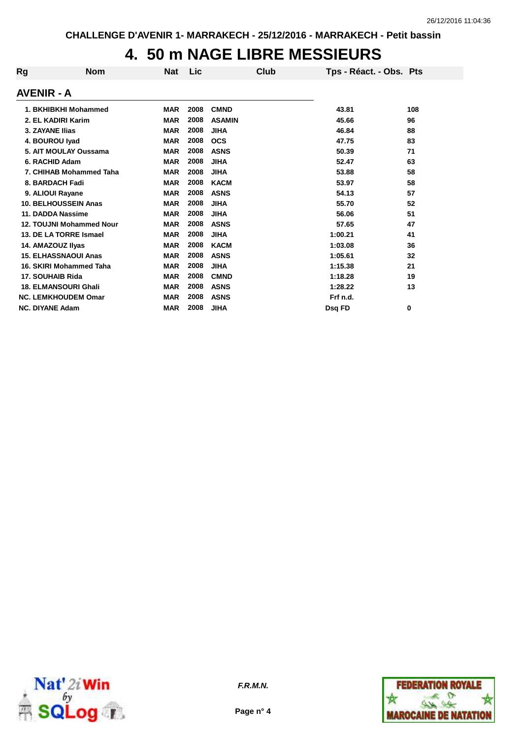## **4. 50 m NAGE LIBRE MESSIEURS**

| Rg                     | <b>Nom</b>                  | <b>Nat</b> | Lic  | Club          | Tps - Réact. - Obs. Pts |     |
|------------------------|-----------------------------|------------|------|---------------|-------------------------|-----|
| <b>AVENIR - A</b>      |                             |            |      |               |                         |     |
|                        | 1. BKHIBKHI Mohammed        | <b>MAR</b> | 2008 | <b>CMND</b>   | 43.81                   | 108 |
|                        | 2. EL KADIRI Karim          | <b>MAR</b> | 2008 | <b>ASAMIN</b> | 45.66                   | 96  |
| 3. ZAYANE Ilias        |                             | <b>MAR</b> | 2008 | <b>JIHA</b>   | 46.84                   | 88  |
|                        | 4. BOUROU Iyad              | <b>MAR</b> | 2008 | <b>OCS</b>    | 47.75                   | 83  |
|                        | 5. AIT MOULAY Oussama       | <b>MAR</b> | 2008 | <b>ASNS</b>   | 50.39                   | 71  |
|                        | 6. RACHID Adam              | <b>MAR</b> | 2008 | <b>JIHA</b>   | 52.47                   | 63  |
|                        | 7. CHIHAB Mohammed Taha     | <b>MAR</b> | 2008 | <b>JIHA</b>   | 53.88                   | 58  |
|                        | 8. BARDACH Fadi             | <b>MAR</b> | 2008 | <b>KACM</b>   | 53.97                   | 58  |
|                        | 9. ALIOUI Rayane            | <b>MAR</b> | 2008 | <b>ASNS</b>   | 54.13                   | 57  |
|                        | <b>10. BELHOUSSEIN Anas</b> | <b>MAR</b> | 2008 | <b>JIHA</b>   | 55.70                   | 52  |
|                        | 11. DADDA Nassime           | <b>MAR</b> | 2008 | <b>JIHA</b>   | 56.06                   | 51  |
|                        | 12. TOUJNI Mohammed Nour    | <b>MAR</b> | 2008 | <b>ASNS</b>   | 57.65                   | 47  |
|                        | 13. DE LA TORRE Ismael      | <b>MAR</b> | 2008 | <b>JIHA</b>   | 1:00.21                 | 41  |
|                        | 14. AMAZOUZ IIyas           | <b>MAR</b> | 2008 | <b>KACM</b>   | 1:03.08                 | 36  |
|                        | <b>15. ELHASSNAOUI Anas</b> | <b>MAR</b> | 2008 | <b>ASNS</b>   | 1:05.61                 | 32  |
|                        | 16. SKIRI Mohammed Taha     | <b>MAR</b> | 2008 | <b>JIHA</b>   | 1:15.38                 | 21  |
|                        | 17. SOUHAIB Rida            | <b>MAR</b> | 2008 | <b>CMND</b>   | 1:18.28                 | 19  |
|                        | <b>18. ELMANSOURI Ghali</b> | <b>MAR</b> | 2008 | <b>ASNS</b>   | 1:28.22                 | 13  |
|                        | <b>NC. LEMKHOUDEM Omar</b>  | <b>MAR</b> | 2008 | <b>ASNS</b>   | Frf n.d.                |     |
| <b>NC. DIYANE Adam</b> |                             | <b>MAR</b> | 2008 | JIHA          | Dsa FD                  | 0   |



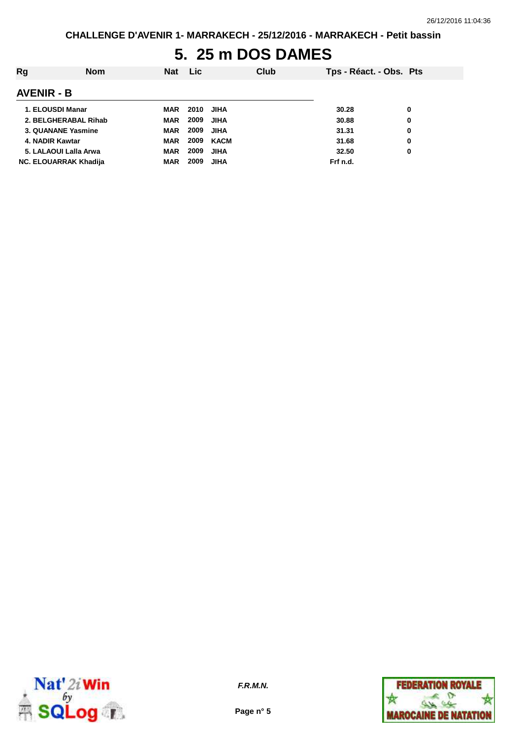# **5. 25 m DOS DAMES**

| Rg                           | <b>Nom</b> | <b>Nat</b> | <b>Lic</b> | <b>Club</b> |          | Tps - Réact. - Obs. Pts |
|------------------------------|------------|------------|------------|-------------|----------|-------------------------|
| <b>AVENIR - B</b>            |            |            |            |             |          |                         |
| 1. ELOUSDI Manar             |            | MAR        | 2010       | <b>JIHA</b> | 30.28    | 0                       |
| 2. BELGHERABAL Rihab         |            | MAR        | 2009       | <b>JIHA</b> | 30.88    | 0                       |
| 3. QUANANE Yasmine           |            | <b>MAR</b> | 2009       | <b>JIHA</b> | 31.31    | 0                       |
| 4. NADIR Kawtar              |            | MAR        | 2009       | KACM        | 31.68    | 0                       |
| 5. LALAOUI Lalla Arwa        |            | <b>MAR</b> | 2009       | <b>JIHA</b> | 32.50    | 0                       |
| <b>NC. ELOUARRAK Khadija</b> |            | <b>MAR</b> | 2009       | <b>JIHA</b> | Frf n.d. |                         |



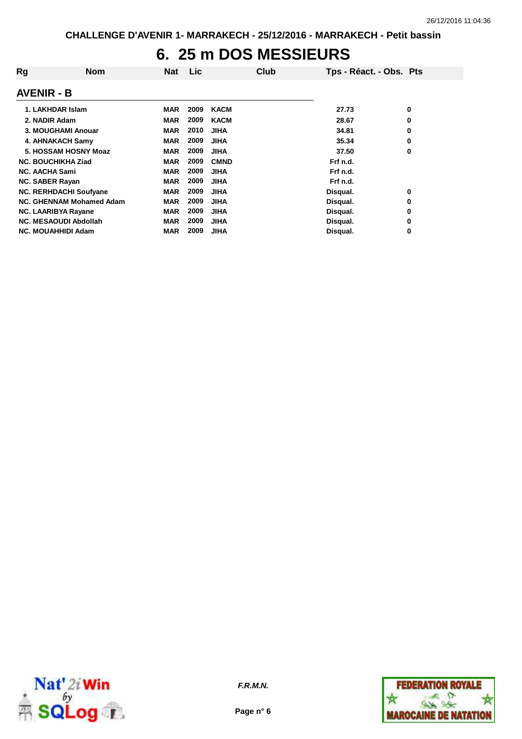## **6. 25 m DOS MESSIEURS**

| Rg                     | <b>Nom</b>                    | <b>Nat</b> | Lic  | Club        | Tps - Réact. - Obs. Pts |   |
|------------------------|-------------------------------|------------|------|-------------|-------------------------|---|
| <b>AVENIR - B</b>      |                               |            |      |             |                         |   |
|                        | 1. LAKHDAR Islam              | MAR        | 2009 | <b>KACM</b> | 27.73                   | 0 |
| 2. NADIR Adam          |                               | <b>MAR</b> | 2009 | <b>KACM</b> | 28.67                   | 0 |
|                        | 3. MOUGHAMI Anouar            | <b>MAR</b> | 2010 | <b>JIHA</b> | 34.81                   | 0 |
|                        | 4. AHNAKACH Samy              | <b>MAR</b> | 2009 | <b>JIHA</b> | 35.34                   | 0 |
|                        | 5. HOSSAM HOSNY Moaz          | <b>MAR</b> | 2009 | <b>JIHA</b> | 37.50                   | 0 |
|                        | <b>NC. BOUCHIKHA Ziad</b>     | <b>MAR</b> | 2009 | <b>CMND</b> | Frf n.d.                |   |
| <b>NC. AACHA Sami</b>  |                               | <b>MAR</b> | 2009 | <b>JIHA</b> | Frf n.d.                |   |
| <b>NC. SABER Rayan</b> |                               | <b>MAR</b> | 2009 | <b>JIHA</b> | Frf n.d.                |   |
|                        | <b>NC. RERHDACHI Soufvane</b> | <b>MAR</b> | 2009 | <b>JIHA</b> | Disqual.                | 0 |
|                        | NC. GHENNAM Mohamed Adam      | <b>MAR</b> | 2009 | <b>JIHA</b> | Disqual.                | 0 |
|                        | NC. LAARIBYA Rayane           | <b>MAR</b> | 2009 | <b>JIHA</b> | Disqual.                | 0 |
|                        | <b>NC. MESAOUDI Abdollah</b>  | <b>MAR</b> | 2009 | <b>JIHA</b> | Disqual.                | 0 |
|                        | <b>NC. MOUAHHIDI Adam</b>     | <b>MAR</b> | 2009 | <b>JIHA</b> | Disqual.                | 0 |



**Page n° 6**

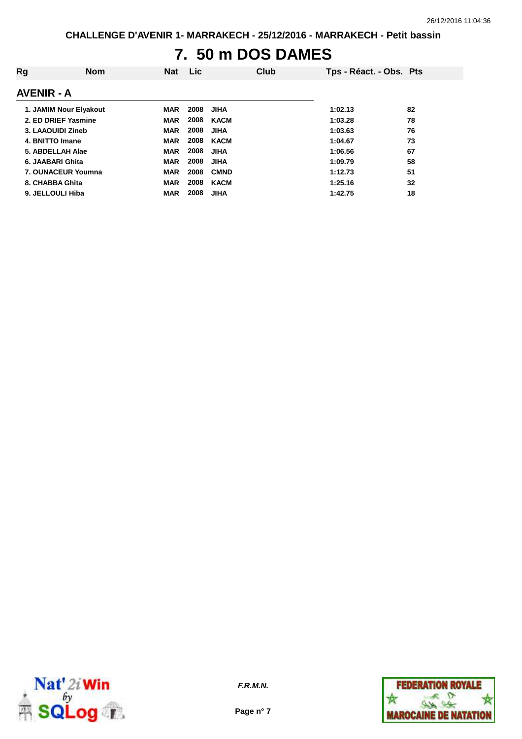# **7. 50 m DOS DAMES**

| Rg                | <b>Nom</b>             | <b>Nat</b> | Lic. | Club        | Tps - Réact. - Obs. Pts |    |
|-------------------|------------------------|------------|------|-------------|-------------------------|----|
| <b>AVENIR - A</b> |                        |            |      |             |                         |    |
|                   | 1. JAMIM Nour Elyakout | <b>MAR</b> | 2008 | <b>JIHA</b> | 1:02.13                 | 82 |
|                   | 2. ED DRIEF Yasmine    | <b>MAR</b> | 2008 | <b>KACM</b> | 1:03.28                 | 78 |
| 3. LAAOUIDI Zineb |                        | <b>MAR</b> | 2008 | <b>JIHA</b> | 1:03.63                 | 76 |
| 4. BNITTO Imane   |                        | <b>MAR</b> | 2008 | <b>KACM</b> | 1:04.67                 | 73 |
| 5. ABDELLAH Alae  |                        | <b>MAR</b> | 2008 | <b>JIHA</b> | 1:06.56                 | 67 |
| 6. JAABARI Ghita  |                        | <b>MAR</b> | 2008 | <b>JIHA</b> | 1:09.79                 | 58 |
|                   | 7. OUNACEUR Youmna     | <b>MAR</b> | 2008 | <b>CMND</b> | 1:12.73                 | 51 |
| 8. CHABBA Ghita   |                        | <b>MAR</b> | 2008 | <b>KACM</b> | 1:25.16                 | 32 |
| 9. JELLOULI Hiba  |                        | <b>MAR</b> | 2008 | <b>JIHA</b> | 1:42.75                 | 18 |



**Page n° 7**

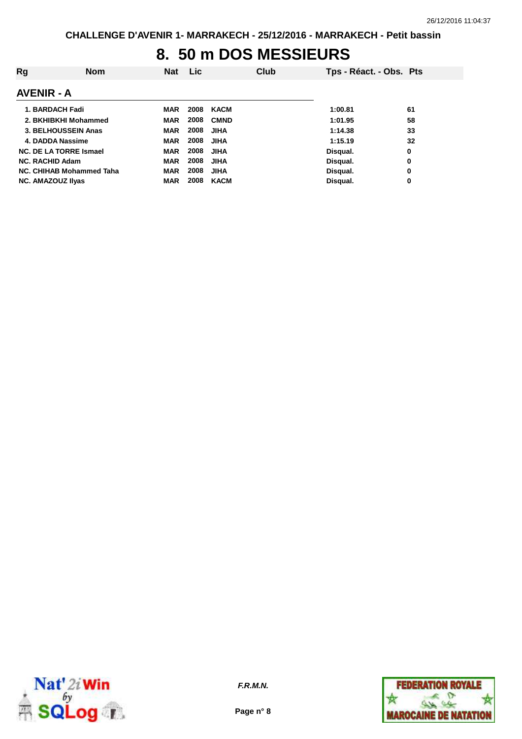## **8. 50 m DOS MESSIEURS**

| Rg                       | <b>Nom</b>                    | <b>Nat</b> | <b>Lic</b> | Club        | Tps - Réact. - Obs. Pts |    |
|--------------------------|-------------------------------|------------|------------|-------------|-------------------------|----|
| <b>AVENIR - A</b>        |                               |            |            |             |                         |    |
|                          | 1. BARDACH Fadi               | MAR        | 2008       | KACM        | 1:00.81                 | 61 |
|                          | 2. BKHIBKHI Mohammed          | <b>MAR</b> | 2008       | <b>CMND</b> | 1:01.95                 | 58 |
|                          | 3. BELHOUSSEIN Anas           | <b>MAR</b> | 2008       | <b>JIHA</b> | 1:14.38                 | 33 |
|                          | 4. DADDA Nassime              | <b>MAR</b> | 2008       | <b>JIHA</b> | 1:15.19                 | 32 |
|                          | <b>NC. DE LA TORRE Ismael</b> | <b>MAR</b> | 2008       | <b>JIHA</b> | Disqual.                | 0  |
| <b>NC. RACHID Adam</b>   |                               | <b>MAR</b> | 2008       | <b>JIHA</b> | Disqual.                | 0  |
|                          | NC. CHIHAB Mohammed Taha      | <b>MAR</b> | 2008       | <b>JIHA</b> | Disqual.                | 0  |
| <b>NC. AMAZOUZ IIvas</b> |                               | <b>MAR</b> | 2008       | <b>KACM</b> | Disqual.                | 0  |



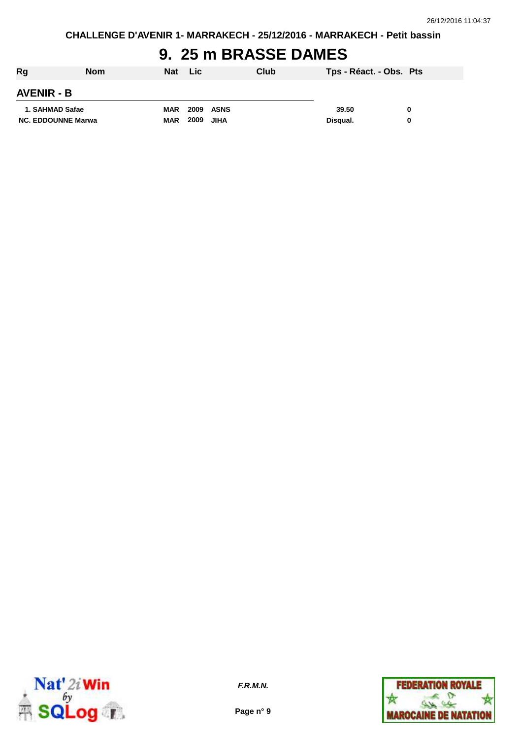## **9. 25 m BRASSE DAMES**

| Rg                        | <b>Nom</b> | Nat        | <b>Lic</b>       | Club | Tps - Réact. - Obs. Pts |   |
|---------------------------|------------|------------|------------------|------|-------------------------|---|
| <b>AVENIR - B</b>         |            |            |                  |      |                         |   |
| 1. SAHMAD Safae           |            | <b>MAR</b> | <b>2009 ASNS</b> |      | 39.50                   | 0 |
| <b>NC. EDDOUNNE Marwa</b> |            | <b>MAR</b> | 2009             | JIHA | Disqual.                | 0 |



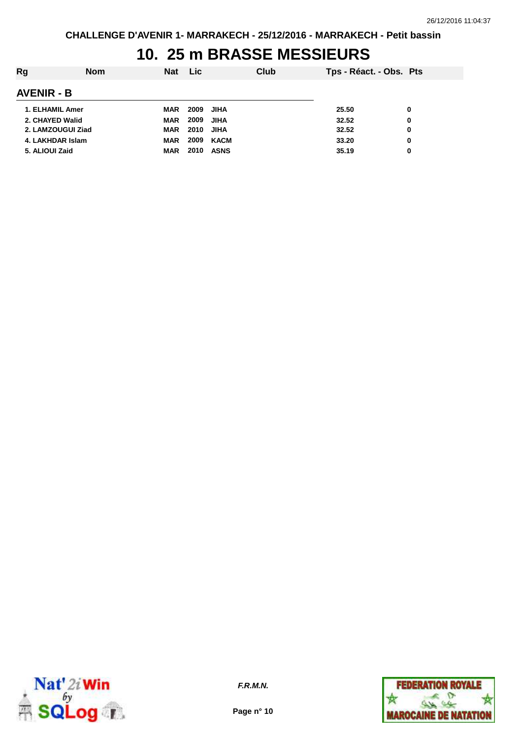## **10. 25 m BRASSE MESSIEURS**

| Rg                | <b>Nom</b> | <b>Nat</b> | <b>Lic</b> | Club        | Tps - Réact. - Obs. Pts |   |
|-------------------|------------|------------|------------|-------------|-------------------------|---|
| <b>AVENIR - B</b> |            |            |            |             |                         |   |
| 1. ELHAMIL Amer   |            | <b>MAR</b> | 2009       | <b>JIHA</b> | 25.50                   | 0 |
| 2. CHAYED Walid   |            | <b>MAR</b> | 2009       | JIHA        | 32.52                   | 0 |
| 2. LAMZOUGUI Ziad |            | <b>MAR</b> | 2010       | JIHA        | 32.52                   | 0 |
| 4. LAKHDAR Islam  |            | <b>MAR</b> | 2009       | KACM        | 33.20                   | 0 |
| 5. ALIOUI Zaid    |            | <b>MAR</b> | 2010       | <b>ASNS</b> | 35.19                   | 0 |



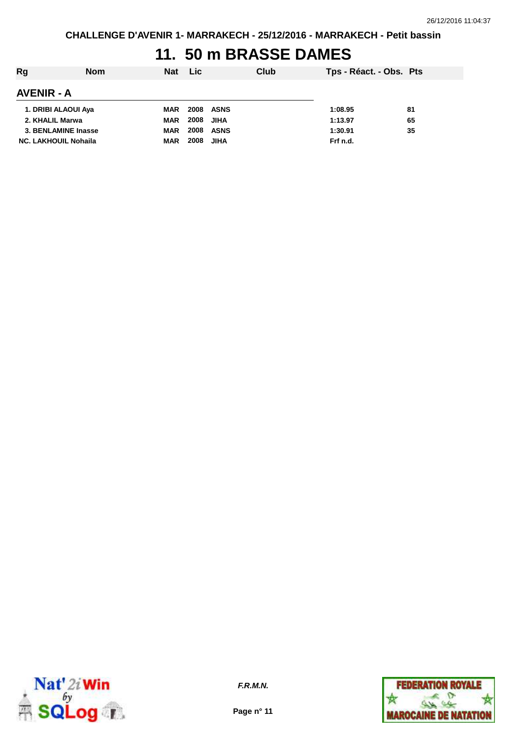# **11. 50 m BRASSE DAMES**

| Rg                          | <b>Nom</b> | <b>Nat</b> | <b>Lic</b> |                  | Club | Tps - Réact. - Obs. Pts |    |
|-----------------------------|------------|------------|------------|------------------|------|-------------------------|----|
| <b>AVENIR - A</b>           |            |            |            |                  |      |                         |    |
| 1. DRIBI ALAOUI Aya         |            | MAR        |            | <b>2008 ASNS</b> |      | 1:08.95                 | 81 |
| 2. KHALIL Marwa             |            | MAR        | 2008       | <b>JIHA</b>      |      | 1:13.97                 | 65 |
| 3. BENLAMINE Inasse         |            | <b>MAR</b> |            | <b>2008 ASNS</b> |      | 1:30.91                 | 35 |
| <b>NC. LAKHOUIL Nohaila</b> |            | <b>MAR</b> | 2008       | <b>JIHA</b>      |      | Frf n.d.                |    |



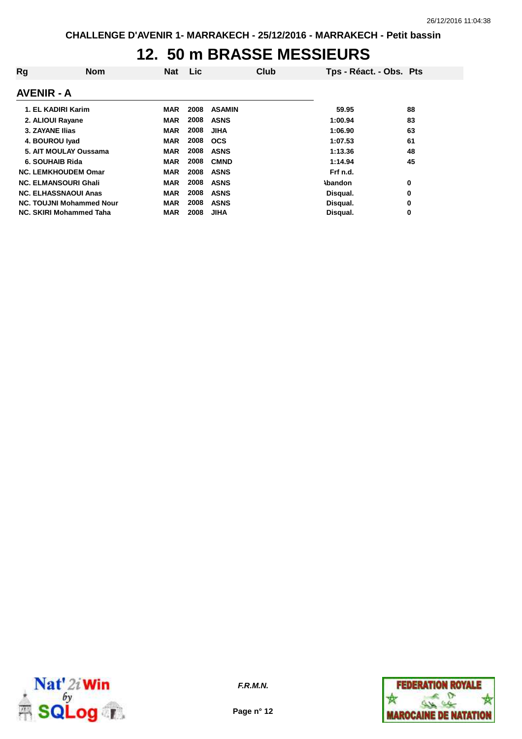#### **12. 50 m BRASSE MESSIEURS**

| Rg                     | <b>Nom</b>                      | <b>Nat</b> | Lic  | Club          | Tps - Réact. - Obs. Pts |    |
|------------------------|---------------------------------|------------|------|---------------|-------------------------|----|
| <b>AVENIR - A</b>      |                                 |            |      |               |                         |    |
|                        | 1. EL KADIRI Karim              | MAR        | 2008 | <b>ASAMIN</b> | 59.95                   | 88 |
| 2. ALIOUI Rayane       |                                 | <b>MAR</b> | 2008 | <b>ASNS</b>   | 1:00.94                 | 83 |
| <b>3. ZAYANE Ilias</b> |                                 | <b>MAR</b> | 2008 | <b>JIHA</b>   | 1:06.90                 | 63 |
| 4. BOUROU Iyad         |                                 | <b>MAR</b> | 2008 | <b>OCS</b>    | 1:07.53                 | 61 |
|                        | 5. AIT MOULAY Oussama           | <b>MAR</b> | 2008 | <b>ASNS</b>   | 1:13.36                 | 48 |
| 6. SOUHAIB Rida        |                                 | <b>MAR</b> | 2008 | <b>CMND</b>   | 1:14.94                 | 45 |
|                        | <b>NC. LEMKHOUDEM Omar</b>      | <b>MAR</b> | 2008 | <b>ASNS</b>   | Frf n.d.                |    |
|                        | <b>NC. ELMANSOURI Ghali</b>     | <b>MAR</b> | 2008 | <b>ASNS</b>   | <b>\bandon</b>          | 0  |
|                        | <b>NC. ELHASSNAOUI Anas</b>     | <b>MAR</b> | 2008 | <b>ASNS</b>   | Disqual.                | 0  |
|                        | <b>NC. TOUJNI Mohammed Nour</b> | <b>MAR</b> | 2008 | <b>ASNS</b>   | Disqual.                | 0  |
|                        | NC. SKIRI Mohammed Taha         | <b>MAR</b> | 2008 | <b>JIHA</b>   | Disqual.                | 0  |



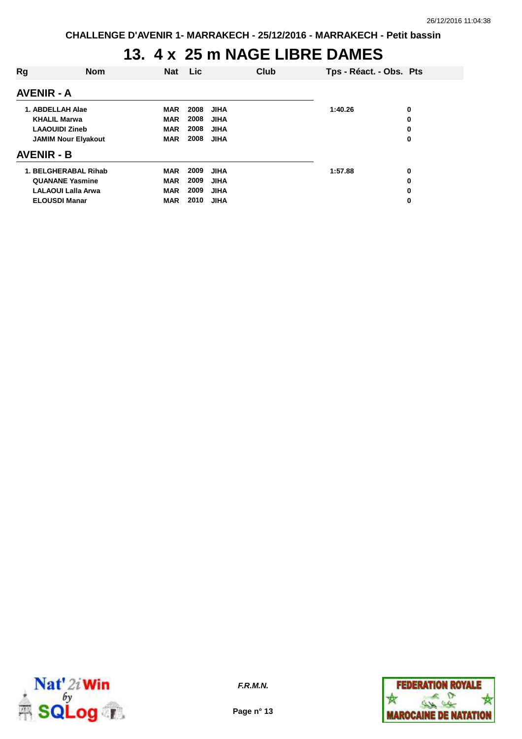# **13. 4 x 25 m NAGE LIBRE DAMES**

| Rg                         | <b>Nom</b> | <b>Nat</b> | Lic. |             | Club |         | Tps - Réact. - Obs. Pts |   |
|----------------------------|------------|------------|------|-------------|------|---------|-------------------------|---|
| <b>AVENIR - A</b>          |            |            |      |             |      |         |                         |   |
| 1. ABDELLAH Alae           |            | <b>MAR</b> | 2008 | <b>JIHA</b> |      | 1:40.26 |                         | 0 |
| <b>KHALIL Marwa</b>        |            | <b>MAR</b> | 2008 | <b>JIHA</b> |      |         |                         | 0 |
| <b>LAAOUIDI Zineb</b>      |            | <b>MAR</b> | 2008 | <b>JIHA</b> |      |         |                         | 0 |
| <b>JAMIM Nour Elyakout</b> |            | <b>MAR</b> | 2008 | <b>JIHA</b> |      |         |                         | 0 |
| <b>AVENIR - B</b>          |            |            |      |             |      |         |                         |   |
| 1. BELGHERABAL Rihab       |            | <b>MAR</b> | 2009 | <b>JIHA</b> |      | 1:57.88 |                         | 0 |
| <b>QUANANE Yasmine</b>     |            | <b>MAR</b> | 2009 | <b>JIHA</b> |      |         |                         | 0 |
| <b>LALAOUI Lalla Arwa</b>  |            | <b>MAR</b> | 2009 | <b>JIHA</b> |      |         |                         | 0 |
| <b>ELOUSDI Manar</b>       |            | <b>MAR</b> | 2010 | <b>JIHA</b> |      |         |                         | 0 |